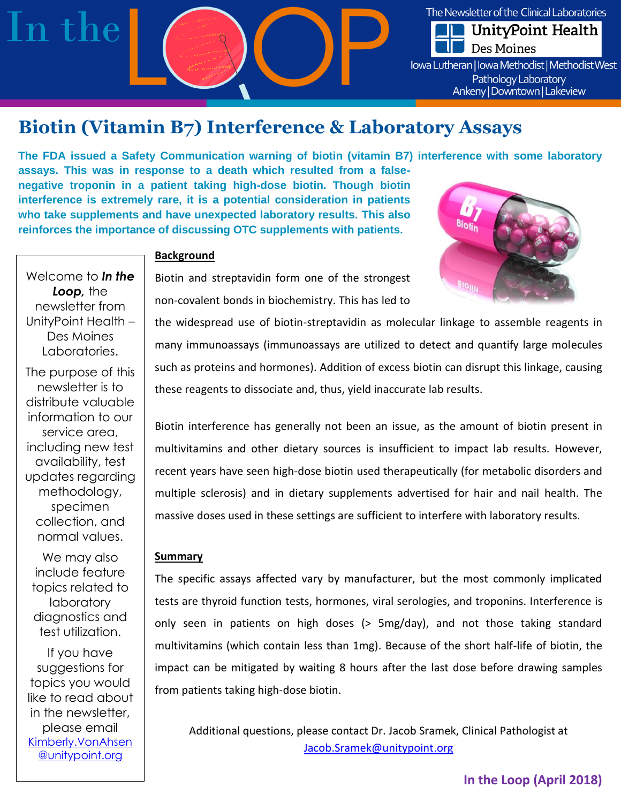

# **Biotin (Vitamin B7) Interference & Laboratory Assays**

**The FDA issued a Safety Communication warning of biotin (vitamin B7) interference with some laboratory assays. This was in response to a death which resulted from a falsenegative troponin in a patient taking high-dose biotin. Though biotin interference is extremely rare, it is a potential consideration in patients who take supplements and have unexpected laboratory results. This also reinforces the importance of discussing OTC supplements with patients.** 



# **Background**

Biotin and streptavidin form one of the strongest non-covalent bonds in biochemistry. This has led to

the widespread use of biotin-streptavidin as molecular linkage to assemble reagents in many immunoassays (immunoassays are utilized to detect and quantify large molecules such as proteins and hormones). Addition of excess biotin can disrupt this linkage, causing these reagents to dissociate and, thus, yield inaccurate lab results.

Biotin interference has generally not been an issue, as the amount of biotin present in multivitamins and other dietary sources is insufficient to impact lab results. However, recent years have seen high-dose biotin used therapeutically (for metabolic disorders and multiple sclerosis) and in dietary supplements advertised for hair and nail health. The massive doses used in these settings are sufficient to interfere with laboratory results.

#### **Summary**

The specific assays affected vary by manufacturer, but the most commonly implicated tests are thyroid function tests, hormones, viral serologies, and troponins. Interference is only seen in patients on high doses (> 5mg/day), and not those taking standard multivitamins (which contain less than 1mg). Because of the short half-life of biotin, the impact can be mitigated by waiting 8 hours after the last dose before drawing samples from patients taking high-dose biotin.

Additional questions, please contact Dr. Jacob Sramek, Clinical Pathologist at [Jacob.Sramek@unitypoint.org](mailto:Jacob.Sramek@unitypoint.org)

Welcome to *In the Loop,* the newsletter from UnityPoint Health – Des Moines Laboratories.

The purpose of this newsletter is to distribute valuable information to our service area, including new test availability, test updates regarding methodology, specimen collection, and normal values.

We may also include feature topics related to laboratory diagnostics and test utilization.

If you have suggestions for topics you would like to read about in the newsletter, please email [Kimberly.VonAhsen](mailto:Kimberly.VonAhsen@unitypoint.org) [@unitypoint.org](mailto:Kimberly.VonAhsen@unitypoint.org)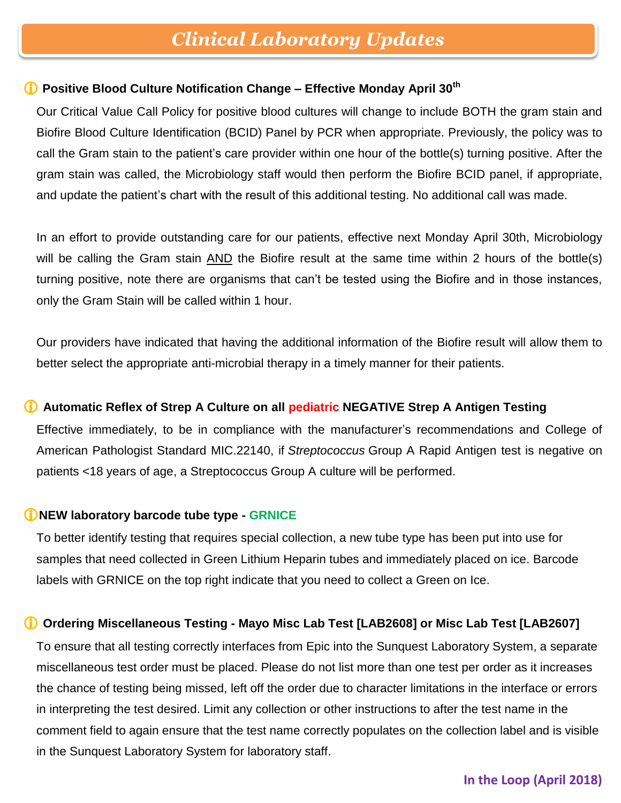# *Clinical Laboratory Updates*

### **Positive Blood Culture Notification Change – Effective Monday April 30th**

Our Critical Value Call Policy for positive blood cultures will change to include BOTH the gram stain and Biofire Blood Culture Identification (BCID) Panel by PCR when appropriate. Previously, the policy was to call the Gram stain to the patient's care provider within one hour of the bottle(s) turning positive. After the gram stain was called, the Microbiology staff would then perform the Biofire BCID panel, if appropriate, and update the patient's chart with the result of this additional testing. No additional call was made.

In an effort to provide outstanding care for our patients, effective next Monday April 30th, Microbiology will be calling the Gram stain AND the Biofire result at the same time within 2 hours of the bottle(s) turning positive, note there are organisms that can't be tested using the Biofire and in those instances, only the Gram Stain will be called within 1 hour.

Our providers have indicated that having the additional information of the Biofire result will allow them to better select the appropriate anti-microbial therapy in a timely manner for their patients.

### **Automatic Reflex of Strep A Culture on all pediatric NEGATIVE Strep A Antigen Testing**

Effective immediately, to be in compliance with the manufacturer's recommendations and College of American Pathologist Standard MIC.22140, if *Streptococcus* Group A Rapid Antigen test is negative on patients <18 years of age, a Streptococcus Group A culture will be performed.

### **NEW laboratory barcode tube type - GRNICE**

To better identify testing that requires special collection, a new tube type has been put into use for samples that need collected in Green Lithium Heparin tubes and immediately placed on ice. Barcode labels with GRNICE on the top right indicate that you need to collect a Green on Ice.

## **Ordering Miscellaneous Testing - Mayo Misc Lab Test [LAB2608] or Misc Lab Test [LAB2607]**

To ensure that all testing correctly interfaces from Epic into the Sunquest Laboratory System, a separate miscellaneous test order must be placed. Please do not list more than one test per order as it increases the chance of testing being missed, left off the order due to character limitations in the interface or errors in interpreting the test desired. Limit any collection or other instructions to after the test name in the comment field to again ensure that the test name correctly populates on the collection label and is visible in the Sunquest Laboratory System for laboratory staff.

## **In the Loop (April 2018)**